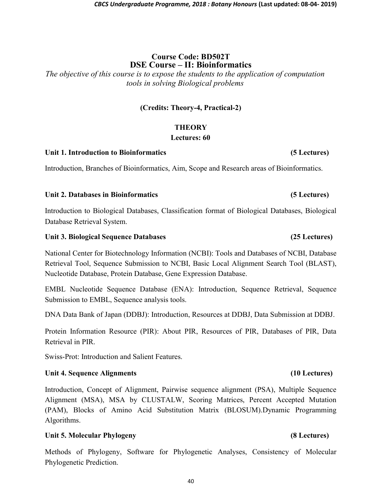# Course Code: BD502T DSE Course – II: Bioinformatics

The objective of this course is to expose the students to the application of computation tools in solving Biological problems

# (Credits: Theory-4, Practical-2)

# **THEORY**

## Lectures: 60

### Unit 1. Introduction to Bioinformatics (5 Lectures)

Introduction, Branches of Bioinformatics, Aim, Scope and Research areas of Bioinformatics.

### Unit 2. Databases in Bioinformatics (5 Lectures)

Introduction to Biological Databases, Classification format of Biological Databases, Biological Database Retrieval System.

### Unit 3. Biological Sequence Databases (25 Lectures)

National Center for Biotechnology Information (NCBI): Tools and Databases of NCBI, Database Retrieval Tool, Sequence Submission to NCBI, Basic Local Alignment Search Tool (BLAST), Nucleotide Database, Protein Database, Gene Expression Database.

EMBL Nucleotide Sequence Database (ENA): Introduction, Sequence Retrieval, Sequence Submission to EMBL, Sequence analysis tools.

DNA Data Bank of Japan (DDBJ): Introduction, Resources at DDBJ, Data Submission at DDBJ.

Protein Information Resource (PIR): About PIR, Resources of PIR, Databases of PIR, Data Retrieval in PIR.

Swiss-Prot: Introduction and Salient Features.

### Unit 4. Sequence Alignments (10 Lectures)

Introduction, Concept of Alignment, Pairwise sequence alignment (PSA), Multiple Sequence Alignment (MSA), MSA by CLUSTALW, Scoring Matrices, Percent Accepted Mutation (PAM), Blocks of Amino Acid Substitution Matrix (BLOSUM).Dynamic Programming Algorithms.

## Unit 5. Molecular Phylogeny (8 Lectures)

Methods of Phylogeny, Software for Phylogenetic Analyses, Consistency of Molecular Phylogenetic Prediction.